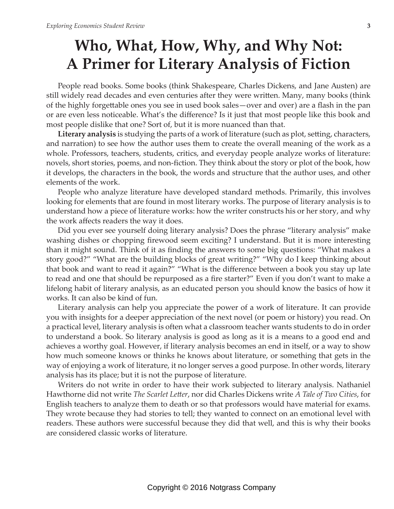# **Who, What, How, Why, and Why Not: A Primer for Literary Analysis of Fiction**

People read books. Some books (think Shakespeare, Charles Dickens, and Jane Austen) are still widely read decades and even centuries after they were written. Many, many books (think of the highly forgettable ones you see in used book sales—over and over) are a flash in the pan or are even less noticeable. What's the difference? Is it just that most people like this book and most people dislike that one? Sort of, but it is more nuanced than that.

**Literary analysis** is studying the parts of a work of literature (such as plot, setting, characters, and narration) to see how the author uses them to create the overall meaning of the work as a whole. Professors, teachers, students, critics, and everyday people analyze works of literature: novels, short stories, poems, and non-fiction. They think about the story or plot of the book, how it develops, the characters in the book, the words and structure that the author uses, and other elements of the work.

People who analyze literature have developed standard methods. Primarily, this involves looking for elements that are found in most literary works. The purpose of literary analysis is to understand how a piece of literature works: how the writer constructs his or her story, and why the work affects readers the way it does.

Did you ever see yourself doing literary analysis? Does the phrase "literary analysis" make washing dishes or chopping firewood seem exciting? I understand. But it is more interesting than it might sound. Think of it as finding the answers to some big questions: "What makes a story good?" "What are the building blocks of great writing?" "Why do I keep thinking about that book and want to read it again?" "What is the difference between a book you stay up late to read and one that should be repurposed as a fire starter?" Even if you don't want to make a lifelong habit of literary analysis, as an educated person you should know the basics of how it works. It can also be kind of fun.

Literary analysis can help you appreciate the power of a work of literature. It can provide you with insights for a deeper appreciation of the next novel (or poem or history) you read. On a practical level, literary analysis is often what a classroom teacher wants students to do in order to understand a book. So literary analysis is good as long as it is a means to a good end and achieves a worthy goal. However, if literary analysis becomes an end in itself, or a way to show how much someone knows or thinks he knows about literature, or something that gets in the way of enjoying a work of literature, it no longer serves a good purpose. In other words, literary analysis has its place; but it is not the purpose of literature.

Writers do not write in order to have their work subjected to literary analysis. Nathaniel Hawthorne did not write *The Scarlet Letter*, nor did Charles Dickens write *A Tale of Two Cities*, for English teachers to analyze them to death or so that professors would have material for exams. They wrote because they had stories to tell; they wanted to connect on an emotional level with readers. These authors were successful because they did that well, and this is why their books are considered classic works of literature.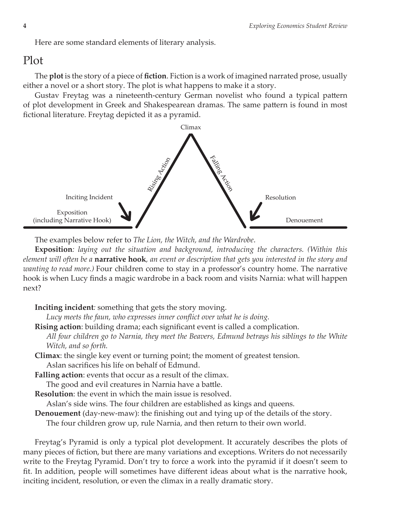Here are some standard elements of literary analysis.

### Plot

The **plot** is the story of a piece of **fiction**. Fiction is a work of imagined narrated prose, usually either a novel or a short story. The plot is what happens to make it a story.

Gustav Freytag was a nineteenth-century German novelist who found a typical pattern of plot development in Greek and Shakespearean dramas. The same pattern is found in most fictional literature. Freytag depicted it as a pyramid.



The examples below refer to *The Lion, the Witch, and the Wardrobe*.

**Exposition***: laying out the situation and background, introducing the characters. (Within this element will often be a* **narrative hook***, an event or description that gets you interested in the story and wanting to read more.)* Four children come to stay in a professor's country home. The narrative hook is when Lucy finds a magic wardrobe in a back room and visits Narnia: what will happen next?

#### **Inciting incident***:* something that gets the story moving.

*Lucy meets the faun, who expresses inner conflict over what he is doing.*

**Rising action**: building drama; each significant event is called a complication.

- *All four children go to Narnia, they meet the Beavers, Edmund betrays his siblings to the White Witch, and so forth.*
- **Climax**: the single key event or turning point; the moment of greatest tension. Aslan sacrifices his life on behalf of Edmund.
- **Falling action**: events that occur as a result of the climax.
	- The good and evil creatures in Narnia have a battle.
- **Resolution**: the event in which the main issue is resolved.

Aslan's side wins. The four children are established as kings and queens.

**Denouement** (day-new-maw): the finishing out and tying up of the details of the story.

The four children grow up, rule Narnia, and then return to their own world.

Freytag's Pyramid is only a typical plot development. It accurately describes the plots of many pieces of fiction, but there are many variations and exceptions. Writers do not necessarily write to the Freytag Pyramid. Don't try to force a work into the pyramid if it doesn't seem to fit. In addition, people will sometimes have different ideas about what is the narrative hook, inciting incident, resolution, or even the climax in a really dramatic story.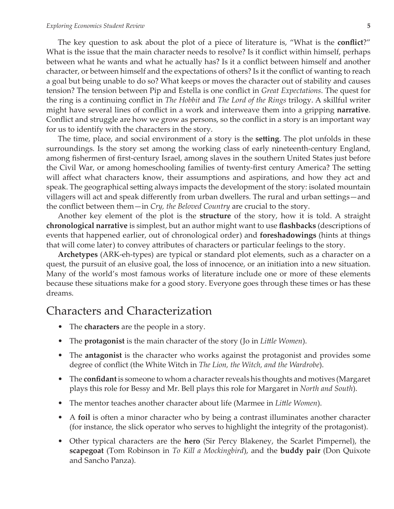The key question to ask about the plot of a piece of literature is, "What is the **conflict**?" What is the issue that the main character needs to resolve? Is it conflict within himself, perhaps between what he wants and what he actually has? Is it a conflict between himself and another character, or between himself and the expectations of others? Is it the conflict of wanting to reach a goal but being unable to do so? What keeps or moves the character out of stability and causes tension? The tension between Pip and Estella is one conflict in *Great Expectations*. The quest for the ring is a continuing conflict in *The Hobbit* and *The Lord of the Rings* trilogy. A skillful writer might have several lines of conflict in a work and interweave them into a gripping **narrative**. Conflict and struggle are how we grow as persons, so the conflict in a story is an important way for us to identify with the characters in the story.

The time, place, and social environment of a story is the **setting**. The plot unfolds in these surroundings. Is the story set among the working class of early nineteenth-century England, among fishermen of first-century Israel, among slaves in the southern United States just before the Civil War, or among homeschooling families of twenty-first century America? The setting will affect what characters know, their assumptions and aspirations, and how they act and speak. The geographical setting always impacts the development of the story: isolated mountain villagers will act and speak differently from urban dwellers. The rural and urban settings—and the conflict between them—in *Cry, the Beloved Country* are crucial to the story.

Another key element of the plot is the **structure** of the story, how it is told. A straight **chronological narrative** is simplest, but an author might want to use **flashbacks** (descriptions of events that happened earlier, out of chronological order) and **foreshadowings** (hints at things that will come later) to convey attributes of characters or particular feelings to the story.

**Archetypes** (ARK-eh-types) are typical or standard plot elements, such as a character on a quest, the pursuit of an elusive goal, the loss of innocence, or an initiation into a new situation. Many of the world's most famous works of literature include one or more of these elements because these situations make for a good story. Everyone goes through these times or has these dreams.

### Characters and Characterization

- The **characters** are the people in a story.
- The **protagonist** is the main character of the story (Jo in *Little Women*).
- The **antagonist** is the character who works against the protagonist and provides some degree of conflict (the White Witch in *The Lion, the Witch, and the Wardrobe*).
- The **confidant** is someone to whom a character reveals his thoughts and motives (Margaret plays this role for Bessy and Mr. Bell plays this role for Margaret in *North and South*).
- The mentor teaches another character about life (Marmee in *Little Women*).
- A **foil** is often a minor character who by being a contrast illuminates another character (for instance, the slick operator who serves to highlight the integrity of the protagonist).
- Other typical characters are the **hero** (Sir Percy Blakeney, the Scarlet Pimpernel), the **scapegoat** (Tom Robinson in *To Kill a Mockingbird*), and the **buddy pair** (Don Quixote and Sancho Panza).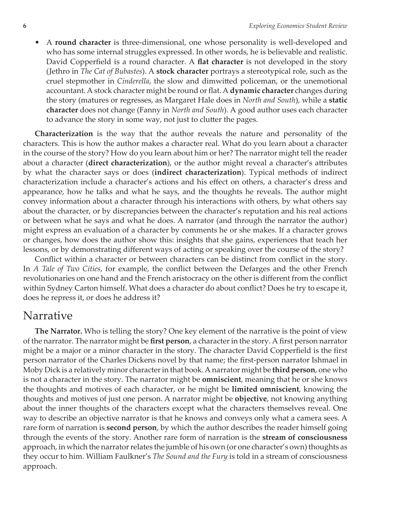• A **round character** is three-dimensional, one whose personality is well-developed and who has some internal struggles expressed. In other words, he is believable and realistic. David Copperfield is a round character. A **flat character** is not developed in the story (Jethro in *The Cat of Bubastes*). A **stock character** portrays a stereotypical role, such as the cruel stepmother in *Cinderella*, the slow and dimwitted policeman, or the unemotional accountant. A stock character might be round or flat. A **dynamic character** changes during the story (matures or regresses, as Margaret Hale does in *North and South*), while a **static character** does not change (Fanny in *North and South*). A good author uses each character to advance the story in some way, not just to clutter the pages.

**Characterization** is the way that the author reveals the nature and personality of the characters. This is how the author makes a character real. What do you learn about a character in the course of the story? How do you learn about him or her? The narrator might tell the reader about a character (**direct characterization**), or the author might reveal a character's attributes by what the character says or does (**indirect characterization**). Typical methods of indirect characterization include a character's actions and his effect on others, a character's dress and appearance, how he talks and what he says, and the thoughts he reveals. The author might convey information about a character through his interactions with others, by what others say about the character, or by discrepancies between the character's reputation and his real actions or between what he says and what he does. A narrator (and through the narrator the author) might express an evaluation of a character by comments he or she makes. If a character grows or changes, how does the author show this: insights that she gains, experiences that teach her lessons, or by demonstrating different ways of acting or speaking over the course of the story?

Conflict within a character or between characters can be distinct from conflict in the story. In *A Tale of Two Cities*, for example, the conflict between the Defarges and the other French revolutionaries on one hand and the French aristocracy on the other is different from the conflict within Sydney Carton himself. What does a character do about conflict? Does he try to escape it, does he repress it, or does he address it?

### Narrative

**The Narrator.** Who is telling the story? One key element of the narrative is the point of view of the narrator. The narrator might be **first person**, a character in the story. A first person narrator might be a major or a minor character in the story. The character David Copperfield is the first person narrator of the Charles Dickens novel by that name; the first-person narrator Ishmael in Moby Dick is a relatively minor character in that book. A narrator might be **third person**, one who is not a character in the story. The narrator might be **omniscient**, meaning that he or she knows the thoughts and motives of each character, or he might be **limited omniscient**, knowing the thoughts and motives of just one person. A narrator might be **objective**, not knowing anything about the inner thoughts of the characters except what the characters themselves reveal. One way to describe an objective narrator is that he knows and conveys only what a camera sees. A rare form of narration is **second person**, by which the author describes the reader himself going through the events of the story. Another rare form of narration is the **stream of consciousness** approach, in which the narrator relates the jumble of his own (or one character's own) thoughts as they occur to him. William Faulkner's *The Sound and the Fury* is told in a stream of consciousness approach.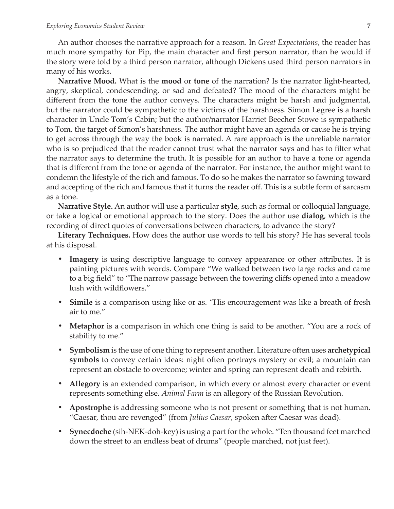An author chooses the narrative approach for a reason. In *Great Expectations*, the reader has much more sympathy for Pip, the main character and first person narrator, than he would if the story were told by a third person narrator, although Dickens used third person narrators in many of his works.

**Narrative Mood.** What is the **mood** or **tone** of the narration? Is the narrator light-hearted, angry, skeptical, condescending, or sad and defeated? The mood of the characters might be different from the tone the author conveys. The characters might be harsh and judgmental, but the narrator could be sympathetic to the victims of the harshness. Simon Legree is a harsh character in Uncle Tom's Cabin; but the author/narrator Harriet Beecher Stowe is sympathetic to Tom, the target of Simon's harshness. The author might have an agenda or cause he is trying to get across through the way the book is narrated. A rare approach is the unreliable narrator who is so prejudiced that the reader cannot trust what the narrator says and has to filter what the narrator says to determine the truth. It is possible for an author to have a tone or agenda that is different from the tone or agenda of the narrator. For instance, the author might want to condemn the lifestyle of the rich and famous. To do so he makes the narrator so fawning toward and accepting of the rich and famous that it turns the reader off. This is a subtle form of sarcasm as a tone.

**Narrative Style.** An author will use a particular **style**, such as formal or colloquial language, or take a logical or emotional approach to the story. Does the author use **dialog**, which is the recording of direct quotes of conversations between characters, to advance the story?

**Literary Techniques.** How does the author use words to tell his story? He has several tools at his disposal.

- **• Imagery** is using descriptive language to convey appearance or other attributes. It is painting pictures with words. Compare "We walked between two large rocks and came to a big field" to "The narrow passage between the towering cliffs opened into a meadow lush with wildflowers."
- **• Simile** is a comparison using like or as. "His encouragement was like a breath of fresh air to me."
- **• Metaphor** is a comparison in which one thing is said to be another. "You are a rock of stability to me."
- **• Symbolism** is the use of one thing to represent another. Literature often uses **archetypical symbols** to convey certain ideas: night often portrays mystery or evil; a mountain can represent an obstacle to overcome; winter and spring can represent death and rebirth.
- **• Allegory** is an extended comparison, in which every or almost every character or event represents something else. *Animal Farm* is an allegory of the Russian Revolution.
- **• Apostrophe** is addressing someone who is not present or something that is not human. "Caesar, thou are revenged" (from *Julius Caesar*, spoken after Caesar was dead).
- **• Synecdoche** (sih-NEK-doh-key) is using a part for the whole. "Ten thousand feet marched down the street to an endless beat of drums" (people marched, not just feet).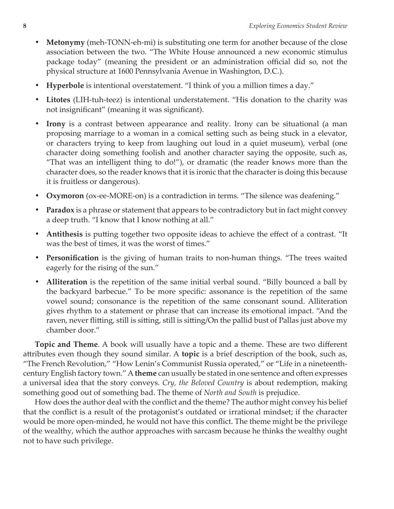- **• Metonymy** (meh-TONN-eh-mi) is substituting one term for another because of the close association between the two. "The White House announced a new economic stimulus package today" (meaning the president or an administration official did so, not the physical structure at 1600 Pennsylvania Avenue in Washington, D.C.).
- **• Hyperbole** is intentional overstatement. "I think of you a million times a day."
- **• Litotes** (LIH-tuh-teez) is intentional understatement. "His donation to the charity was not insignificant" (meaning it was significant).
- **Irony** is a contrast between appearance and reality. Irony can be situational (a man proposing marriage to a woman in a comical setting such as being stuck in a elevator, or characters trying to keep from laughing out loud in a quiet museum), verbal (one character doing something foolish and another character saying the opposite, such as, "That was an intelligent thing to do!"), or dramatic (the reader knows more than the character does, so the reader knows that it is ironic that the character is doing this because it is fruitless or dangerous).
- **Oxymoron** (ox-ee-MORE-on) is a contradiction in terms. "The silence was deafening."
- **• Paradox** is a phrase or statement that appears to be contradictory but in fact might convey a deep truth. "I know that I know nothing at all."
- **• Antithesis** is putting together two opposite ideas to achieve the effect of a contrast. "It was the best of times, it was the worst of times."
- **• Personification** is the giving of human traits to non-human things. "The trees waited eagerly for the rising of the sun."
- **• Alliteration** is the repetition of the same initial verbal sound. "Billy bounced a ball by the backyard barbecue." To be more specific: assonance is the repetition of the same vowel sound; consonance is the repetition of the same consonant sound. Alliteration gives rhythm to a statement or phrase that can increase its emotional impact. "And the raven, never flitting, still is sitting, still is sitting/On the pallid bust of Pallas just above my chamber door."

**Topic and Theme**. A book will usually have a topic and a theme. These are two different attributes even though they sound similar. A **topic** is a brief description of the book, such as, "The French Revolution," "How Lenin's Communist Russia operated," or "Life in a nineteenthcentury English factory town." A **theme** can usually be stated in one sentence and often expresses a universal idea that the story conveys. *Cry, the Beloved Country* is about redemption, making something good out of something bad. The theme of *North and South* is prejudice.

How does the author deal with the conflict and the theme? The author might convey his belief that the conflict is a result of the protagonist's outdated or irrational mindset; if the character would be more open-minded, he would not have this conflict. The theme might be the privilege of the wealthy, which the author approaches with sarcasm because he thinks the wealthy ought not to have such privilege.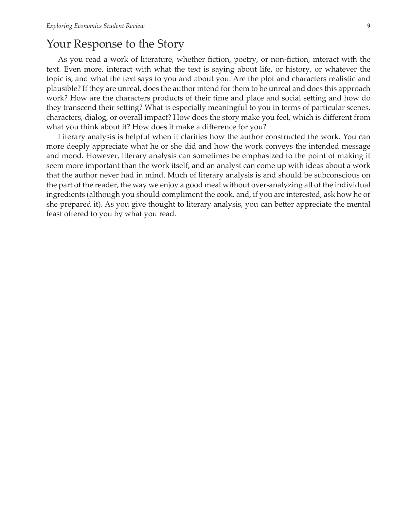### Your Response to the Story

As you read a work of literature, whether fiction, poetry, or non-fiction, interact with the text. Even more, interact with what the text is saying about life, or history, or whatever the topic is, and what the text says to you and about you. Are the plot and characters realistic and plausible? If they are unreal, does the author intend for them to be unreal and does this approach work? How are the characters products of their time and place and social setting and how do they transcend their setting? What is especially meaningful to you in terms of particular scenes, characters, dialog, or overall impact? How does the story make you feel, which is different from what you think about it? How does it make a difference for you?

Literary analysis is helpful when it clarifies how the author constructed the work. You can more deeply appreciate what he or she did and how the work conveys the intended message and mood. However, literary analysis can sometimes be emphasized to the point of making it seem more important than the work itself; and an analyst can come up with ideas about a work that the author never had in mind. Much of literary analysis is and should be subconscious on the part of the reader, the way we enjoy a good meal without over-analyzing all of the individual ingredients (although you should compliment the cook, and, if you are interested, ask how he or she prepared it). As you give thought to literary analysis, you can better appreciate the mental feast offered to you by what you read.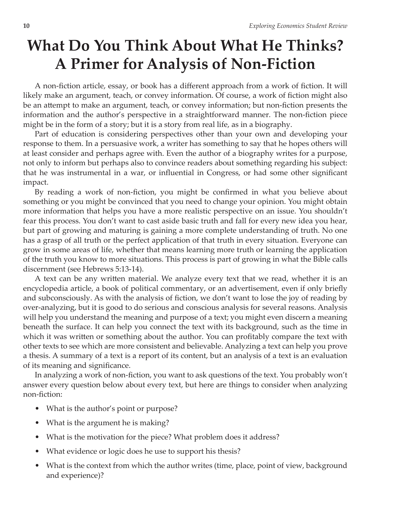# **What Do You Think About What He Thinks? A Primer for Analysis of Non-Fiction**

A non-fiction article, essay, or book has a different approach from a work of fiction. It will likely make an argument, teach, or convey information. Of course, a work of fiction might also be an attempt to make an argument, teach, or convey information; but non-fiction presents the information and the author's perspective in a straightforward manner. The non-fiction piece might be in the form of a story; but it is a story from real life, as in a biography.

Part of education is considering perspectives other than your own and developing your response to them. In a persuasive work, a writer has something to say that he hopes others will at least consider and perhaps agree with. Even the author of a biography writes for a purpose, not only to inform but perhaps also to convince readers about something regarding his subject: that he was instrumental in a war, or influential in Congress, or had some other significant impact.

By reading a work of non-fiction, you might be confirmed in what you believe about something or you might be convinced that you need to change your opinion. You might obtain more information that helps you have a more realistic perspective on an issue. You shouldn't fear this process. You don't want to cast aside basic truth and fall for every new idea you hear, but part of growing and maturing is gaining a more complete understanding of truth. No one has a grasp of all truth or the perfect application of that truth in every situation. Everyone can grow in some areas of life, whether that means learning more truth or learning the application of the truth you know to more situations. This process is part of growing in what the Bible calls discernment (see Hebrews 5:13-14).

A text can be any written material. We analyze every text that we read, whether it is an encyclopedia article, a book of political commentary, or an advertisement, even if only briefly and subconsciously. As with the analysis of fiction, we don't want to lose the joy of reading by over-analyzing, but it is good to do serious and conscious analysis for several reasons. Analysis will help you understand the meaning and purpose of a text; you might even discern a meaning beneath the surface. It can help you connect the text with its background, such as the time in which it was written or something about the author. You can profitably compare the text with other texts to see which are more consistent and believable. Analyzing a text can help you prove a thesis. A summary of a text is a report of its content, but an analysis of a text is an evaluation of its meaning and significance.

In analyzing a work of non-fiction, you want to ask questions of the text. You probably won't answer every question below about every text, but here are things to consider when analyzing non-fiction:

- What is the author's point or purpose?
- What is the argument he is making?
- What is the motivation for the piece? What problem does it address?
- What evidence or logic does he use to support his thesis?
- What is the context from which the author writes (time, place, point of view, background and experience)?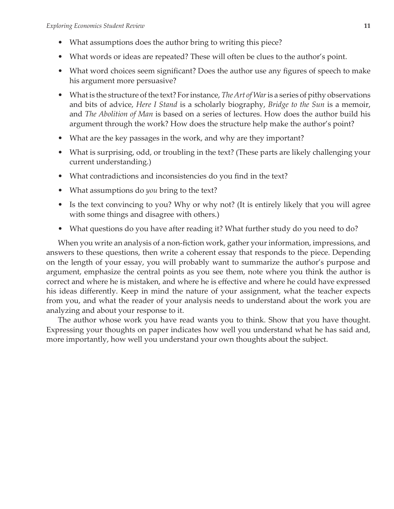- What assumptions does the author bring to writing this piece?
- What words or ideas are repeated? These will often be clues to the author's point.
- What word choices seem significant? Does the author use any figures of speech to make his argument more persuasive?
- What is the structure of the text? For instance, *The Art of War* is a series of pithy observations and bits of advice, *Here I Stand* is a scholarly biography, *Bridge to the Sun* is a memoir, and *The Abolition of Man* is based on a series of lectures. How does the author build his argument through the work? How does the structure help make the author's point?
- What are the key passages in the work, and why are they important?
- What is surprising, odd, or troubling in the text? (These parts are likely challenging your current understanding.)
- What contradictions and inconsistencies do you find in the text?
- What assumptions do *you* bring to the text?
- Is the text convincing to you? Why or why not? (It is entirely likely that you will agree with some things and disagree with others.)
- What questions do you have after reading it? What further study do you need to do?

When you write an analysis of a non-fiction work, gather your information, impressions, and answers to these questions, then write a coherent essay that responds to the piece. Depending on the length of your essay, you will probably want to summarize the author's purpose and argument, emphasize the central points as you see them, note where you think the author is correct and where he is mistaken, and where he is effective and where he could have expressed his ideas differently. Keep in mind the nature of your assignment, what the teacher expects from you, and what the reader of your analysis needs to understand about the work you are analyzing and about your response to it.

The author whose work you have read wants you to think. Show that you have thought. Expressing your thoughts on paper indicates how well you understand what he has said and, more importantly, how well you understand your own thoughts about the subject.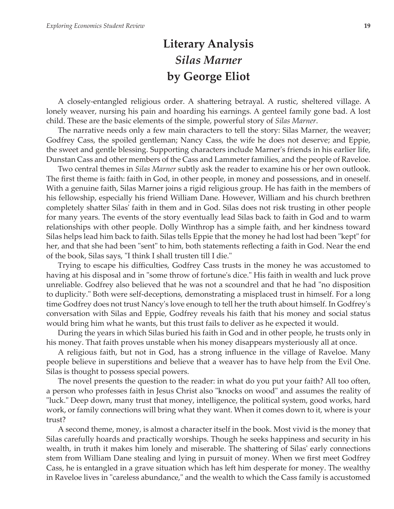## **Literary Analysis** *Silas Marner* **by George Eliot**

A closely-entangled religious order. A shattering betrayal. A rustic, sheltered village. A lonely weaver, nursing his pain and hoarding his earnings. A genteel family gone bad. A lost child. These are the basic elements of the simple, powerful story of *Silas Marner*.

The narrative needs only a few main characters to tell the story: Silas Marner, the weaver; Godfrey Cass, the spoiled gentleman; Nancy Cass, the wife he does not deserve; and Eppie, the sweet and gentle blessing. Supporting characters include Marner's friends in his earlier life, Dunstan Cass and other members of the Cass and Lammeter families, and the people of Raveloe.

Two central themes in *Silas Marner* subtly ask the reader to examine his or her own outlook. The first theme is faith: faith in God, in other people, in money and possessions, and in oneself. With a genuine faith, Silas Marner joins a rigid religious group. He has faith in the members of his fellowship, especially his friend William Dane. However, William and his church brethren completely shatter Silas' faith in them and in God. Silas does not risk trusting in other people for many years. The events of the story eventually lead Silas back to faith in God and to warm relationships with other people. Dolly Winthrop has a simple faith, and her kindness toward Silas helps lead him back to faith. Silas tells Eppie that the money he had lost had been "kept" for her, and that she had been "sent" to him, both statements reflecting a faith in God. Near the end of the book, Silas says, "I think I shall trusten till I die."

Trying to escape his difficulties, Godfrey Cass trusts in the money he was accustomed to having at his disposal and in "some throw of fortune's dice." His faith in wealth and luck prove unreliable. Godfrey also believed that he was not a scoundrel and that he had "no disposition to duplicity." Both were self-deceptions, demonstrating a misplaced trust in himself. For a long time Godfrey does not trust Nancy's love enough to tell her the truth about himself. In Godfrey's conversation with Silas and Eppie, Godfrey reveals his faith that his money and social status would bring him what he wants, but this trust fails to deliver as he expected it would.

During the years in which Silas buried his faith in God and in other people, he trusts only in his money. That faith proves unstable when his money disappears mysteriously all at once.

A religious faith, but not in God, has a strong influence in the village of Raveloe. Many people believe in superstitions and believe that a weaver has to have help from the Evil One. Silas is thought to possess special powers.

The novel presents the question to the reader: in what do you put your faith? All too often, a person who professes faith in Jesus Christ also "knocks on wood" and assumes the reality of "luck." Deep down, many trust that money, intelligence, the political system, good works, hard work, or family connections will bring what they want. When it comes down to it, where is your trust?

A second theme, money, is almost a character itself in the book. Most vivid is the money that Silas carefully hoards and practically worships. Though he seeks happiness and security in his wealth, in truth it makes him lonely and miserable. The shattering of Silas' early connections stem from William Dane stealing and lying in pursuit of money. When we first meet Godfrey Cass, he is entangled in a grave situation which has left him desperate for money. The wealthy in Raveloe lives in "careless abundance," and the wealth to which the Cass family is accustomed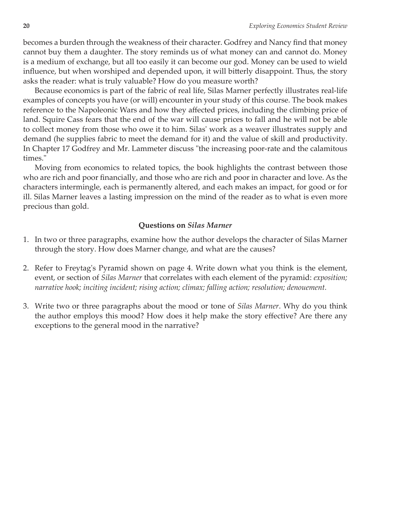becomes a burden through the weakness of their character. Godfrey and Nancy find that money cannot buy them a daughter. The story reminds us of what money can and cannot do. Money is a medium of exchange, but all too easily it can become our god. Money can be used to wield influence, but when worshiped and depended upon, it will bitterly disappoint. Thus, the story asks the reader: what is truly valuable? How do you measure worth?

Because economics is part of the fabric of real life, Silas Marner perfectly illustrates real-life examples of concepts you have (or will) encounter in your study of this course. The book makes reference to the Napoleonic Wars and how they affected prices, including the climbing price of land. Squire Cass fears that the end of the war will cause prices to fall and he will not be able to collect money from those who owe it to him. Silas' work as a weaver illustrates supply and demand (he supplies fabric to meet the demand for it) and the value of skill and productivity. In Chapter 17 Godfrey and Mr. Lammeter discuss "the increasing poor-rate and the calamitous times."

Moving from economics to related topics, the book highlights the contrast between those who are rich and poor financially, and those who are rich and poor in character and love. As the characters intermingle, each is permanently altered, and each makes an impact, for good or for ill. Silas Marner leaves a lasting impression on the mind of the reader as to what is even more precious than gold.

#### **Questions on** *Silas Marner*

- 1. In two or three paragraphs, examine how the author develops the character of Silas Marner through the story. How does Marner change, and what are the causes?
- 2. Refer to Freytag's Pyramid shown on page 4. Write down what you think is the element, event, or section of *Silas Marner* that correlates with each element of the pyramid: *exposition; narrative hook; inciting incident; rising action; climax; falling action; resolution; denouement.*
- 3. Write two or three paragraphs about the mood or tone of *Silas Marner*. Why do you think the author employs this mood? How does it help make the story effective? Are there any exceptions to the general mood in the narrative?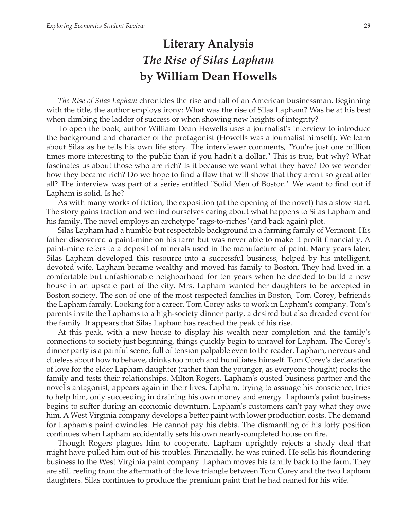## **Literary Analysis** *The Rise of Silas Lapham* **by William Dean Howells**

*The Rise of Silas Lapham* chronicles the rise and fall of an American businessman. Beginning with the title, the author employs irony: What was the rise of Silas Lapham? Was he at his best when climbing the ladder of success or when showing new heights of integrity?

To open the book, author William Dean Howells uses a journalist's interview to introduce the background and character of the protagonist (Howells was a journalist himself). We learn about Silas as he tells his own life story. The interviewer comments, "You're just one million times more interesting to the public than if you hadn't a dollar." This is true, but why? What fascinates us about those who are rich? Is it because we want what they have? Do we wonder how they became rich? Do we hope to find a flaw that will show that they aren't so great after all? The interview was part of a series entitled "Solid Men of Boston." We want to find out if Lapham is solid. Is he?

As with many works of fiction, the exposition (at the opening of the novel) has a slow start. The story gains traction and we find ourselves caring about what happens to Silas Lapham and his family. The novel employs an archetype "rags-to-riches" (and back again) plot.

Silas Lapham had a humble but respectable background in a farming family of Vermont. His father discovered a paint-mine on his farm but was never able to make it profit financially. A paint-mine refers to a deposit of minerals used in the manufacture of paint. Many years later, Silas Lapham developed this resource into a successful business, helped by his intelligent, devoted wife. Lapham became wealthy and moved his family to Boston. They had lived in a comfortable but unfashionable neighborhood for ten years when he decided to build a new house in an upscale part of the city. Mrs. Lapham wanted her daughters to be accepted in Boston society. The son of one of the most respected families in Boston, Tom Corey, befriends the Lapham family. Looking for a career, Tom Corey asks to work in Lapham's company. Tom's parents invite the Laphams to a high-society dinner party, a desired but also dreaded event for the family. It appears that Silas Lapham has reached the peak of his rise.

At this peak, with a new house to display his wealth near completion and the family's connections to society just beginning, things quickly begin to unravel for Lapham. The Corey's dinner party is a painful scene, full of tension palpable even to the reader. Lapham, nervous and clueless about how to behave, drinks too much and humiliates himself. Tom Corey's declaration of love for the elder Lapham daughter (rather than the younger, as everyone thought) rocks the family and tests their relationships. Milton Rogers, Lapham's ousted business partner and the novel's antagonist, appears again in their lives. Lapham, trying to assuage his conscience, tries to help him, only succeeding in draining his own money and energy. Lapham's paint business begins to suffer during an economic downturn. Lapham's customers can't pay what they owe him. A West Virginia company develops a better paint with lower production costs. The demand for Lapham's paint dwindles. He cannot pay his debts. The dismantling of his lofty position continues when Lapham accidentally sets his own nearly-completed house on fire.

Though Rogers plagues him to cooperate, Lapham uprightly rejects a shady deal that might have pulled him out of his troubles. Financially, he was ruined. He sells his floundering business to the West Virginia paint company. Lapham moves his family back to the farm. They are still reeling from the aftermath of the love triangle between Tom Corey and the two Lapham daughters. Silas continues to produce the premium paint that he had named for his wife.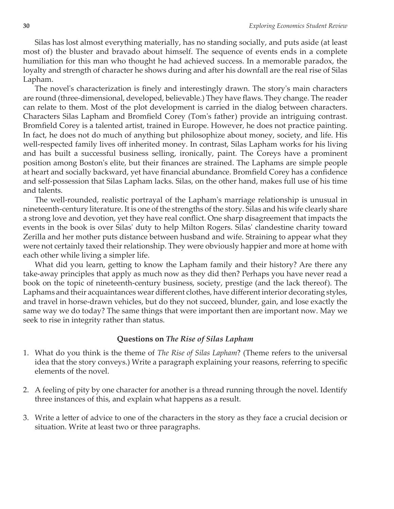Silas has lost almost everything materially, has no standing socially, and puts aside (at least most of) the bluster and bravado about himself. The sequence of events ends in a complete humiliation for this man who thought he had achieved success. In a memorable paradox, the loyalty and strength of character he shows during and after his downfall are the real rise of Silas Lapham.

The novel's characterization is finely and interestingly drawn. The story's main characters are round (three-dimensional, developed, believable.) They have flaws. They change. The reader can relate to them. Most of the plot development is carried in the dialog between characters. Characters Silas Lapham and Bromfield Corey (Tom's father) provide an intriguing contrast. Bromfield Corey is a talented artist, trained in Europe. However, he does not practice painting. In fact, he does not do much of anything but philosophize about money, society, and life. His well-respected family lives off inherited money. In contrast, Silas Lapham works for his living and has built a successful business selling, ironically, paint. The Coreys have a prominent position among Boston's elite, but their finances are strained. The Laphams are simple people at heart and socially backward, yet have financial abundance. Bromfield Corey has a confidence and self-possession that Silas Lapham lacks. Silas, on the other hand, makes full use of his time and talents.

The well-rounded, realistic portrayal of the Lapham's marriage relationship is unusual in nineteenth-century literature. It is one of the strengths of the story. Silas and his wife clearly share a strong love and devotion, yet they have real conflict. One sharp disagreement that impacts the events in the book is over Silas' duty to help Milton Rogers. Silas' clandestine charity toward Zerilla and her mother puts distance between husband and wife. Straining to appear what they were not certainly taxed their relationship. They were obviously happier and more at home with each other while living a simpler life.

What did you learn, getting to know the Lapham family and their history? Are there any take-away principles that apply as much now as they did then? Perhaps you have never read a book on the topic of nineteenth-century business, society, prestige (and the lack thereof). The Laphams and their acquaintances wear different clothes, have different interior decorating styles, and travel in horse-drawn vehicles, but do they not succeed, blunder, gain, and lose exactly the same way we do today? The same things that were important then are important now. May we seek to rise in integrity rather than status.

#### **Questions on** *The Rise of Silas Lapham*

- 1. What do you think is the theme of *The Rise of Silas Lapham*? (Theme refers to the universal idea that the story conveys.) Write a paragraph explaining your reasons, referring to specific elements of the novel.
- 2. A feeling of pity by one character for another is a thread running through the novel. Identify three instances of this, and explain what happens as a result.
- 3. Write a letter of advice to one of the characters in the story as they face a crucial decision or situation. Write at least two or three paragraphs.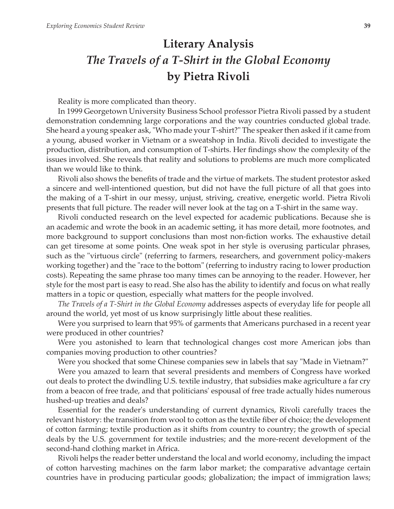## **Literary Analysis** *The Travels of a T-Shirt in the Global Economy* **by Pietra Rivoli**

Reality is more complicated than theory.

In 1999 Georgetown University Business School professor Pietra Rivoli passed by a student demonstration condemning large corporations and the way countries conducted global trade. She heard a young speaker ask, "Who made your T-shirt?" The speaker then asked if it came from a young, abused worker in Vietnam or a sweatshop in India. Rivoli decided to investigate the production, distribution, and consumption of T-shirts. Her findings show the complexity of the issues involved. She reveals that reality and solutions to problems are much more complicated than we would like to think.

Rivoli also shows the benefits of trade and the virtue of markets. The student protestor asked a sincere and well-intentioned question, but did not have the full picture of all that goes into the making of a T-shirt in our messy, unjust, striving, creative, energetic world. Pietra Rivoli presents that full picture. The reader will never look at the tag on a T-shirt in the same way.

Rivoli conducted research on the level expected for academic publications. Because she is an academic and wrote the book in an academic setting, it has more detail, more footnotes, and more background to support conclusions than most non-fiction works. The exhaustive detail can get tiresome at some points. One weak spot in her style is overusing particular phrases, such as the "virtuous circle" (referring to farmers, researchers, and government policy-makers working together) and the "race to the bottom" (referring to industry racing to lower production costs). Repeating the same phrase too many times can be annoying to the reader. However, her style for the most part is easy to read. She also has the ability to identify and focus on what really matters in a topic or question, especially what matters for the people involved.

*The Travels of a T-Shirt in the Global Economy* addresses aspects of everyday life for people all around the world, yet most of us know surprisingly little about these realities.

Were you surprised to learn that 95% of garments that Americans purchased in a recent year were produced in other countries?

Were you astonished to learn that technological changes cost more American jobs than companies moving production to other countries?

Were you shocked that some Chinese companies sew in labels that say "Made in Vietnam?"

Were you amazed to learn that several presidents and members of Congress have worked out deals to protect the dwindling U.S. textile industry, that subsidies make agriculture a far cry from a beacon of free trade, and that politicians' espousal of free trade actually hides numerous hushed-up treaties and deals?

Essential for the reader's understanding of current dynamics, Rivoli carefully traces the relevant history: the transition from wool to cotton as the textile fiber of choice; the development of cotton farming; textile production as it shifts from country to country; the growth of special deals by the U.S. government for textile industries; and the more-recent development of the second-hand clothing market in Africa.

Rivoli helps the reader better understand the local and world economy, including the impact of cotton harvesting machines on the farm labor market; the comparative advantage certain countries have in producing particular goods; globalization; the impact of immigration laws;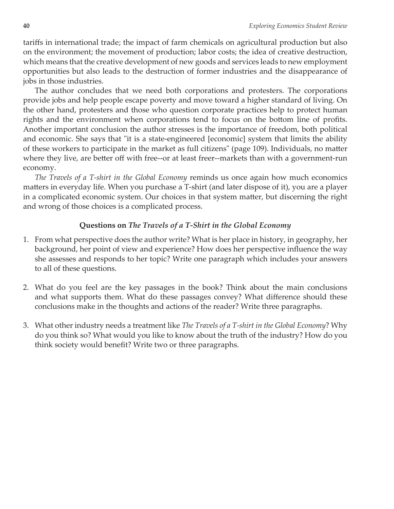tariffs in international trade; the impact of farm chemicals on agricultural production but also on the environment; the movement of production; labor costs; the idea of creative destruction, which means that the creative development of new goods and services leads to new employment opportunities but also leads to the destruction of former industries and the disappearance of jobs in those industries.

The author concludes that we need both corporations and protesters. The corporations provide jobs and help people escape poverty and move toward a higher standard of living. On the other hand, protesters and those who question corporate practices help to protect human rights and the environment when corporations tend to focus on the bottom line of profits. Another important conclusion the author stresses is the importance of freedom, both political and economic. She says that "it is a state-engineered [economic] system that limits the ability of these workers to participate in the market as full citizens" (page 109). Individuals, no matter where they live, are better off with free--or at least freer--markets than with a government-run economy.

*The Travels of a T-shirt in the Global Economy* reminds us once again how much economics matters in everyday life. When you purchase a T-shirt (and later dispose of it), you are a player in a complicated economic system. Our choices in that system matter, but discerning the right and wrong of those choices is a complicated process.

#### **Questions on** *The Travels of a T-Shirt in the Global Economy*

- 1. From what perspective does the author write? What is her place in history, in geography, her background, her point of view and experience? How does her perspective influence the way she assesses and responds to her topic? Write one paragraph which includes your answers to all of these questions.
- 2. What do you feel are the key passages in the book? Think about the main conclusions and what supports them. What do these passages convey? What difference should these conclusions make in the thoughts and actions of the reader? Write three paragraphs.
- 3. What other industry needs a treatment like *The Travels of a T-shirt in the Global Economy*? Why do you think so? What would you like to know about the truth of the industry? How do you think society would benefit? Write two or three paragraphs.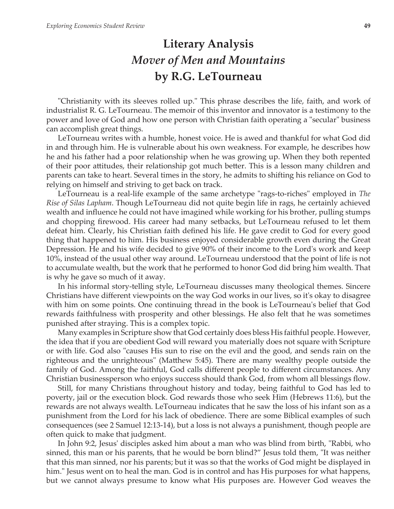## **Literary Analysis** *Mover of Men and Mountains* **by R.G. LeTourneau**

"Christianity with its sleeves rolled up." This phrase describes the life, faith, and work of industrialist R. G. LeTourneau. The memoir of this inventor and innovator is a testimony to the power and love of God and how one person with Christian faith operating a "secular" business can accomplish great things.

LeTourneau writes with a humble, honest voice. He is awed and thankful for what God did in and through him. He is vulnerable about his own weakness. For example, he describes how he and his father had a poor relationship when he was growing up. When they both repented of their poor attitudes, their relationship got much better. This is a lesson many children and parents can take to heart. Several times in the story, he admits to shifting his reliance on God to relying on himself and striving to get back on track.

LeTourneau is a real-life example of the same archetype "rags-to-riches" employed in *The Rise of Silas Lapham*. Though LeTourneau did not quite begin life in rags, he certainly achieved wealth and influence he could not have imagined while working for his brother, pulling stumps and chopping firewood. His career had many setbacks, but LeTourneau refused to let them defeat him. Clearly, his Christian faith defined his life. He gave credit to God for every good thing that happened to him. His business enjoyed considerable growth even during the Great Depression. He and his wife decided to give 90% of their income to the Lord's work and keep 10%, instead of the usual other way around. LeTourneau understood that the point of life is not to accumulate wealth, but the work that he performed to honor God did bring him wealth. That is why he gave so much of it away.

In his informal story-telling style, LeTourneau discusses many theological themes. Sincere Christians have different viewpoints on the way God works in our lives, so it's okay to disagree with him on some points. One continuing thread in the book is LeTourneau's belief that God rewards faithfulness with prosperity and other blessings. He also felt that he was sometimes punished after straying. This is a complex topic.

Many examples in Scripture show that God certainly does bless His faithful people. However, the idea that if you are obedient God will reward you materially does not square with Scripture or with life. God also "causes His sun to rise on the evil and the good, and sends rain on the righteous and the unrighteous" (Matthew 5:45). There are many wealthy people outside the family of God. Among the faithful, God calls different people to different circumstances. Any Christian businessperson who enjoys success should thank God, from whom all blessings flow.

Still, for many Christians throughout history and today, being faithful to God has led to poverty, jail or the execution block. God rewards those who seek Him (Hebrews 11:6), but the rewards are not always wealth. LeTourneau indicates that he saw the loss of his infant son as a punishment from the Lord for his lack of obedience. There are some Biblical examples of such consequences (see 2 Samuel 12:13-14), but a loss is not always a punishment, though people are often quick to make that judgment.

In John 9:2, Jesus' disciples asked him about a man who was blind from birth, "Rabbi, who sinned, this man or his parents, that he would be born blind?" Jesus told them, "It was neither that this man sinned, nor his parents; but it was so that the works of God might be displayed in him." Jesus went on to heal the man. God is in control and has His purposes for what happens, but we cannot always presume to know what His purposes are. However God weaves the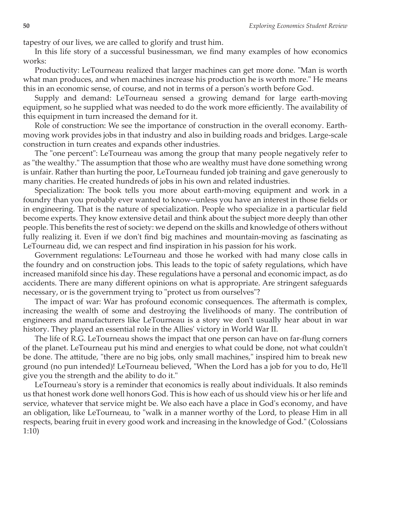tapestry of our lives, we are called to glorify and trust him.

In this life story of a successful businessman, we find many examples of how economics works:

Productivity: LeTourneau realized that larger machines can get more done. "Man is worth what man produces, and when machines increase his production he is worth more." He means this in an economic sense, of course, and not in terms of a person's worth before God.

Supply and demand: LeTourneau sensed a growing demand for large earth-moving equipment, so he supplied what was needed to do the work more efficiently. The availability of this equipment in turn increased the demand for it.

Role of construction: We see the importance of construction in the overall economy. Earthmoving work provides jobs in that industry and also in building roads and bridges. Large-scale construction in turn creates and expands other industries.

The "one percent": LeTourneau was among the group that many people negatively refer to as "the wealthy." The assumption that those who are wealthy must have done something wrong is unfair. Rather than hurting the poor, LeTourneau funded job training and gave generously to many charities. He created hundreds of jobs in his own and related industries.

Specialization: The book tells you more about earth-moving equipment and work in a foundry than you probably ever wanted to know--unless you have an interest in those fields or in engineering. That is the nature of specialization. People who specialize in a particular field become experts. They know extensive detail and think about the subject more deeply than other people. This benefits the rest of society: we depend on the skills and knowledge of others without fully realizing it. Even if we don't find big machines and mountain-moving as fascinating as LeTourneau did, we can respect and find inspiration in his passion for his work.

Government regulations: LeTourneau and those he worked with had many close calls in the foundry and on construction jobs. This leads to the topic of safety regulations, which have increased manifold since his day. These regulations have a personal and economic impact, as do accidents. There are many different opinions on what is appropriate. Are stringent safeguards necessary, or is the government trying to "protect us from ourselves"?

The impact of war: War has profound economic consequences. The aftermath is complex, increasing the wealth of some and destroying the livelihoods of many. The contribution of engineers and manufacturers like LeTourneau is a story we don't usually hear about in war history. They played an essential role in the Allies' victory in World War II.

The life of R.G. LeTourneau shows the impact that one person can have on far-flung corners of the planet. LeTourneau put his mind and energies to what could be done, not what couldn't be done. The attitude, "there are no big jobs, only small machines," inspired him to break new ground (no pun intended)! LeTourneau believed, "When the Lord has a job for you to do, He'll give you the strength and the ability to do it."

LeTourneau's story is a reminder that economics is really about individuals. It also reminds us that honest work done well honors God. This is how each of us should view his or her life and service, whatever that service might be. We also each have a place in God's economy, and have an obligation, like LeTourneau, to "walk in a manner worthy of the Lord, to please Him in all respects, bearing fruit in every good work and increasing in the knowledge of God." (Colossians 1:10)